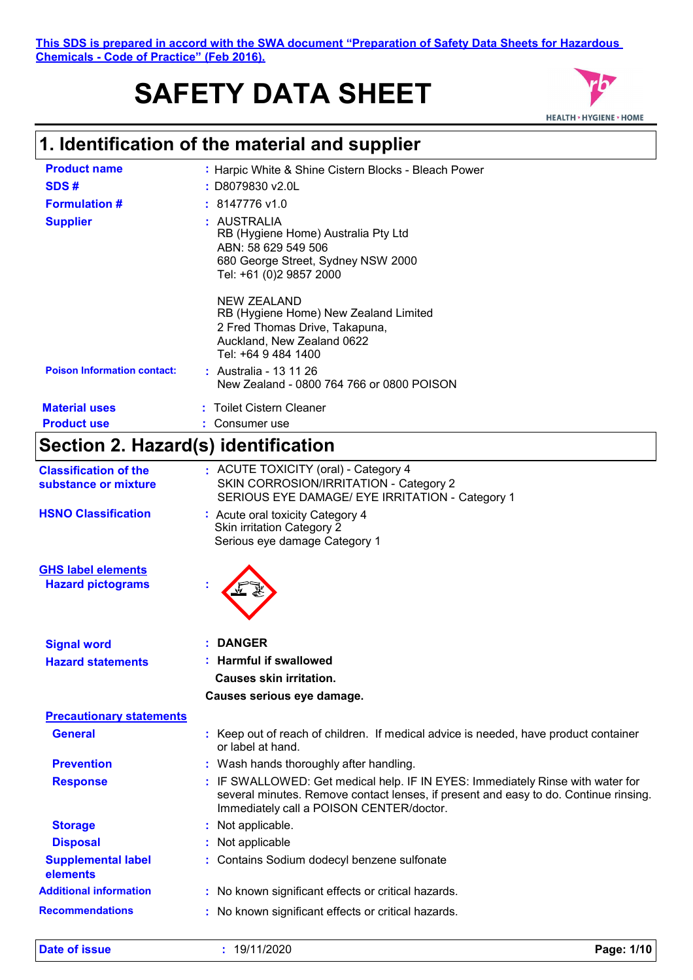This SDS is prepared in accord with the SWA document "Preparation of Safety<br> **1. Identification of the material and supplier**<br>
Product name<br> **1. Identification of the material and supplier**<br>
Product name<br> **1. Harpic White This SDS is prepared in accord with the SWA document "Preparation of Safety Data Sheets for Hazardous Chemicals - Code of Practice" (Feb 2016).**

# **SAFETY DATA SHEET**



| <b>Product name</b>                                   | : Harpic White & Shine Cistern Blocks - Bleach Power                                                                                                                                                                      |
|-------------------------------------------------------|---------------------------------------------------------------------------------------------------------------------------------------------------------------------------------------------------------------------------|
| SDS#                                                  | : D8079830 v2.0L                                                                                                                                                                                                          |
| <b>Formulation #</b>                                  | 8147776 v1.0                                                                                                                                                                                                              |
| <b>Supplier</b>                                       | : AUSTRALIA<br>RB (Hygiene Home) Australia Pty Ltd<br>ABN: 58 629 549 506<br>680 George Street, Sydney NSW 2000<br>Tel: +61 (0)2 9857 2000                                                                                |
| <b>Poison Information contact:</b>                    | <b>NEW ZEALAND</b><br>RB (Hygiene Home) New Zealand Limited<br>2 Fred Thomas Drive, Takapuna,<br>Auckland, New Zealand 0622<br>Tel: +64 9 484 1400<br>: Australia - 13 11 26<br>New Zealand - 0800 764 766 or 0800 POISON |
|                                                       |                                                                                                                                                                                                                           |
| <b>Material uses</b><br><b>Product use</b>            | : Toilet Cistern Cleaner<br>: Consumer use                                                                                                                                                                                |
|                                                       |                                                                                                                                                                                                                           |
| Section 2. Hazard(s) identification                   |                                                                                                                                                                                                                           |
| <b>Classification of the</b><br>substance or mixture  | : ACUTE TOXICITY (oral) - Category 4<br>SKIN CORROSION/IRRITATION - Category 2<br>SERIOUS EYE DAMAGE/ EYE IRRITATION - Category 1                                                                                         |
| <b>HSNO Classification</b>                            | : Acute oral toxicity Category 4<br><b>Skin irritation Category 2</b><br>Serious eye damage Category 1                                                                                                                    |
| <b>GHS label elements</b><br><b>Hazard pictograms</b> |                                                                                                                                                                                                                           |
| <b>Signal word</b>                                    | <b>DANGER</b>                                                                                                                                                                                                             |
| <b>Hazard statements</b>                              | <b>Harmful if swallowed</b>                                                                                                                                                                                               |
|                                                       | <b>Causes skin irritation.</b>                                                                                                                                                                                            |
|                                                       | Causes serious eye damage.                                                                                                                                                                                                |
| <b>Precautionary statements</b>                       |                                                                                                                                                                                                                           |
| <b>General</b>                                        | : Keep out of reach of children. If medical advice is needed, have product container<br>or label at hand.                                                                                                                 |
| <b>Prevention</b>                                     | : Wash hands thoroughly after handling.                                                                                                                                                                                   |
| <b>Response</b>                                       | : IF SWALLOWED: Get medical help. IF IN EYES: Immediately Rinse with water for<br>several minutes. Remove contact lenses, if present and easy to do. Continue rinsing.<br>Immediately call a POISON CENTER/doctor.        |
| <b>Storage</b>                                        | : Not applicable.                                                                                                                                                                                                         |
| <b>Disposal</b>                                       | : Not applicable                                                                                                                                                                                                          |
| <b>Supplemental label</b><br>elements                 | : Contains Sodium dodecyl benzene sulfonate                                                                                                                                                                               |
| <b>Additional information</b>                         | : No known significant effects or critical hazards.                                                                                                                                                                       |
| <b>Recommendations</b>                                | : No known significant effects or critical hazards.                                                                                                                                                                       |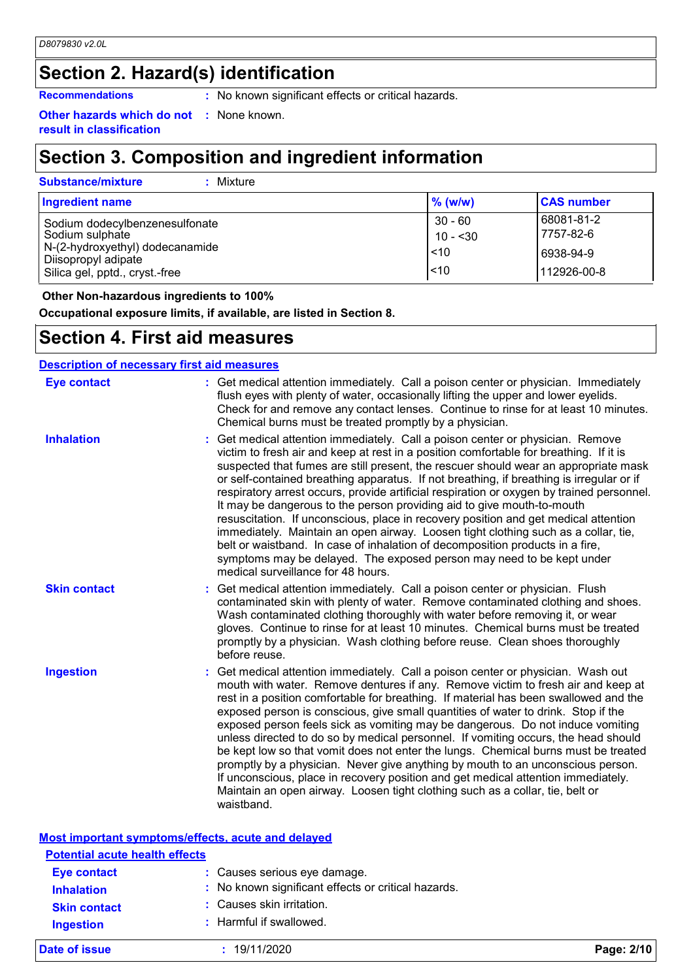## **Section 2. Hazard(s) identification**

**Recommendations** : No known significant effects or critical hazards.

**Other hazards which do not result in classification :** None known.

### **Section 3. Composition and ingredient information**

| <b>Substance/mixture</b><br>Mixture                                                                                                           |                                               |                                                     |  |
|-----------------------------------------------------------------------------------------------------------------------------------------------|-----------------------------------------------|-----------------------------------------------------|--|
| <b>Ingredient name</b>                                                                                                                        | $%$ (w/w)                                     | <b>CAS number</b>                                   |  |
| Sodium dodecylbenzenesulfonate<br>Sodium sulphate<br>N-(2-hydroxyethyl) dodecanamide<br>Diisopropyl adipate<br>Silica gel, pptd., cryst.-free | $30 - 60$<br>10 - <30<br>< 10<br>$\vert$ < 10 | 68081-81-2<br>7757-82-6<br>6938-94-9<br>112926-00-8 |  |

 **Other Non-hazardous ingredients to 100%**

**Occupational exposure limits, if available, are listed in Section 8.**

### **Section 4. First aid measures**

| <b>Description of necessary first aid measures</b> |                                                                                                                                                                                                                                                                                                                                                                                                                                                                                                                                                                                                                                                                                                                                                                                                                                                                                                               |  |
|----------------------------------------------------|---------------------------------------------------------------------------------------------------------------------------------------------------------------------------------------------------------------------------------------------------------------------------------------------------------------------------------------------------------------------------------------------------------------------------------------------------------------------------------------------------------------------------------------------------------------------------------------------------------------------------------------------------------------------------------------------------------------------------------------------------------------------------------------------------------------------------------------------------------------------------------------------------------------|--|
| <b>Eye contact</b>                                 | : Get medical attention immediately. Call a poison center or physician. Immediately<br>flush eyes with plenty of water, occasionally lifting the upper and lower eyelids.<br>Check for and remove any contact lenses. Continue to rinse for at least 10 minutes.<br>Chemical burns must be treated promptly by a physician.                                                                                                                                                                                                                                                                                                                                                                                                                                                                                                                                                                                   |  |
| <b>Inhalation</b>                                  | Get medical attention immediately. Call a poison center or physician. Remove<br>victim to fresh air and keep at rest in a position comfortable for breathing. If it is<br>suspected that fumes are still present, the rescuer should wear an appropriate mask<br>or self-contained breathing apparatus. If not breathing, if breathing is irregular or if<br>respiratory arrest occurs, provide artificial respiration or oxygen by trained personnel.<br>It may be dangerous to the person providing aid to give mouth-to-mouth<br>resuscitation. If unconscious, place in recovery position and get medical attention<br>immediately. Maintain an open airway. Loosen tight clothing such as a collar, tie,<br>belt or waistband. In case of inhalation of decomposition products in a fire,<br>symptoms may be delayed. The exposed person may need to be kept under<br>medical surveillance for 48 hours. |  |
| <b>Skin contact</b>                                | Get medical attention immediately. Call a poison center or physician. Flush<br>contaminated skin with plenty of water. Remove contaminated clothing and shoes.<br>Wash contaminated clothing thoroughly with water before removing it, or wear<br>gloves. Continue to rinse for at least 10 minutes. Chemical burns must be treated<br>promptly by a physician. Wash clothing before reuse. Clean shoes thoroughly<br>before reuse.                                                                                                                                                                                                                                                                                                                                                                                                                                                                           |  |
| <b>Ingestion</b>                                   | Get medical attention immediately. Call a poison center or physician. Wash out<br>mouth with water. Remove dentures if any. Remove victim to fresh air and keep at<br>rest in a position comfortable for breathing. If material has been swallowed and the<br>exposed person is conscious, give small quantities of water to drink. Stop if the<br>exposed person feels sick as vomiting may be dangerous. Do not induce vomiting<br>unless directed to do so by medical personnel. If vomiting occurs, the head should<br>be kept low so that vomit does not enter the lungs. Chemical burns must be treated<br>promptly by a physician. Never give anything by mouth to an unconscious person.<br>If unconscious, place in recovery position and get medical attention immediately.<br>Maintain an open airway. Loosen tight clothing such as a collar, tie, belt or<br>waistband.                          |  |

| Most important symptoms/effects, acute and delayed |
|----------------------------------------------------|
|----------------------------------------------------|

| <b>Potential acute health effects</b>   |                                                                                     |            |
|-----------------------------------------|-------------------------------------------------------------------------------------|------------|
| <b>Eye contact</b><br><b>Inhalation</b> | : Causes serious eye damage.<br>: No known significant effects or critical hazards. |            |
| <b>Skin contact</b>                     | : Causes skin irritation.                                                           |            |
| <b>Ingestion</b>                        | : Harmful if swallowed.                                                             |            |
| Date of issue                           | : 19/11/2020                                                                        | Page: 2/10 |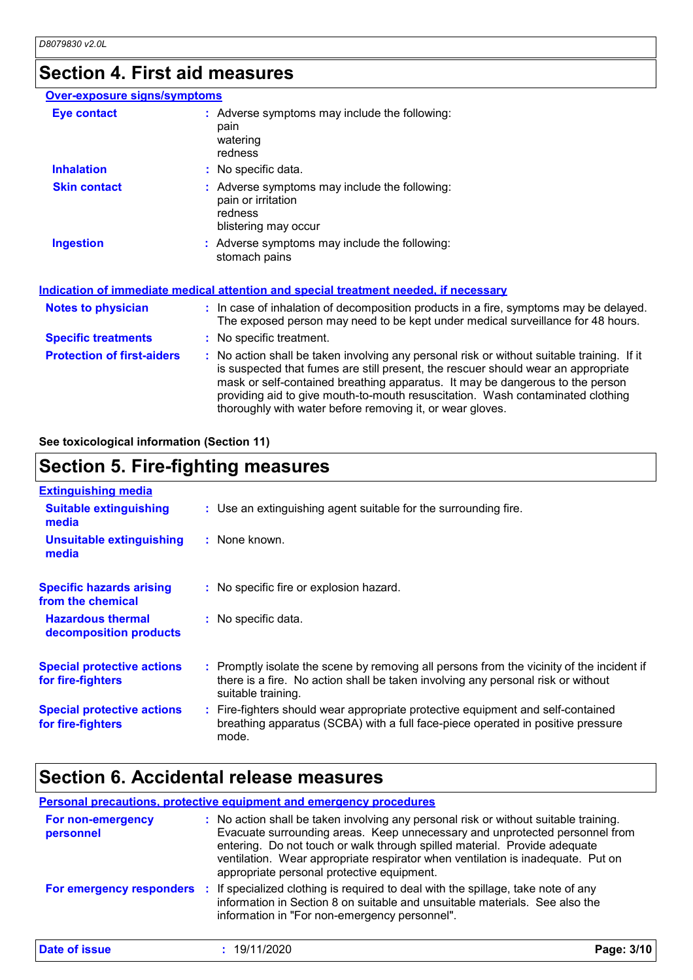### **Section 4. First aid measures**

### **Over-exposure signs/symptoms**

| Eye contact                       | : Adverse symptoms may include the following:<br>pain<br>watering<br>redness                                                                                                                                                                                                                                                                                                                                    |
|-----------------------------------|-----------------------------------------------------------------------------------------------------------------------------------------------------------------------------------------------------------------------------------------------------------------------------------------------------------------------------------------------------------------------------------------------------------------|
| <b>Inhalation</b>                 | : No specific data.                                                                                                                                                                                                                                                                                                                                                                                             |
| <b>Skin contact</b>               | : Adverse symptoms may include the following:<br>pain or irritation<br>redness<br>blistering may occur                                                                                                                                                                                                                                                                                                          |
| <b>Ingestion</b>                  | : Adverse symptoms may include the following:<br>stomach pains                                                                                                                                                                                                                                                                                                                                                  |
|                                   | Indication of immediate medical attention and special treatment needed, if necessary                                                                                                                                                                                                                                                                                                                            |
| <b>Notes to physician</b>         | : In case of inhalation of decomposition products in a fire, symptoms may be delayed.<br>The exposed person may need to be kept under medical surveillance for 48 hours.                                                                                                                                                                                                                                        |
| <b>Specific treatments</b>        | : No specific treatment.                                                                                                                                                                                                                                                                                                                                                                                        |
| <b>Protection of first-aiders</b> | : No action shall be taken involving any personal risk or without suitable training. If it<br>is suspected that fumes are still present, the rescuer should wear an appropriate<br>mask or self-contained breathing apparatus. It may be dangerous to the person<br>providing aid to give mouth-to-mouth resuscitation. Wash contaminated clothing<br>thoroughly with water before removing it, or wear gloves. |

**See toxicological information (Section 11)**

## **Section 5. Fire-fighting measures**

| <b>Extinguishing media</b><br><b>Suitable extinguishing</b><br>: Use an extinguishing agent suitable for the surrounding fire.<br>media<br>: None known.<br><b>Unsuitable extinguishing</b><br>media<br><b>Specific hazards arising</b><br>: No specific fire or explosion hazard.<br>from the chemical<br><b>Hazardous thermal</b><br>: No specific data.<br>decomposition products<br><b>Special protective actions</b><br>for fire-fighters<br>suitable training.<br><b>Special protective actions</b> |                   |                                                                                                                                                                               |
|-----------------------------------------------------------------------------------------------------------------------------------------------------------------------------------------------------------------------------------------------------------------------------------------------------------------------------------------------------------------------------------------------------------------------------------------------------------------------------------------------------------|-------------------|-------------------------------------------------------------------------------------------------------------------------------------------------------------------------------|
|                                                                                                                                                                                                                                                                                                                                                                                                                                                                                                           |                   |                                                                                                                                                                               |
|                                                                                                                                                                                                                                                                                                                                                                                                                                                                                                           |                   |                                                                                                                                                                               |
|                                                                                                                                                                                                                                                                                                                                                                                                                                                                                                           |                   |                                                                                                                                                                               |
|                                                                                                                                                                                                                                                                                                                                                                                                                                                                                                           |                   |                                                                                                                                                                               |
|                                                                                                                                                                                                                                                                                                                                                                                                                                                                                                           |                   |                                                                                                                                                                               |
|                                                                                                                                                                                                                                                                                                                                                                                                                                                                                                           |                   | : Promptly isolate the scene by removing all persons from the vicinity of the incident if<br>there is a fire. No action shall be taken involving any personal risk or without |
| mode.                                                                                                                                                                                                                                                                                                                                                                                                                                                                                                     | for fire-fighters | : Fire-fighters should wear appropriate protective equipment and self-contained<br>breathing apparatus (SCBA) with a full face-piece operated in positive pressure            |

### **Section 6. Accidental release measures**

|                                | <b>Personal precautions, protective equipment and emergency procedures</b>                                                                                                                                                                                                                                                                                                        |            |
|--------------------------------|-----------------------------------------------------------------------------------------------------------------------------------------------------------------------------------------------------------------------------------------------------------------------------------------------------------------------------------------------------------------------------------|------------|
| For non-emergency<br>personnel | : No action shall be taken involving any personal risk or without suitable training.<br>Evacuate surrounding areas. Keep unnecessary and unprotected personnel from<br>entering. Do not touch or walk through spilled material. Provide adequate<br>ventilation. Wear appropriate respirator when ventilation is inadequate. Put on<br>appropriate personal protective equipment. |            |
| For emergency responders       | If specialized clothing is required to deal with the spillage, take note of any<br>- 17<br>information in Section 8 on suitable and unsuitable materials. See also the<br>information in "For non-emergency personnel".                                                                                                                                                           |            |
| Date of issue                  | 19/11/2020                                                                                                                                                                                                                                                                                                                                                                        | Page: 3/10 |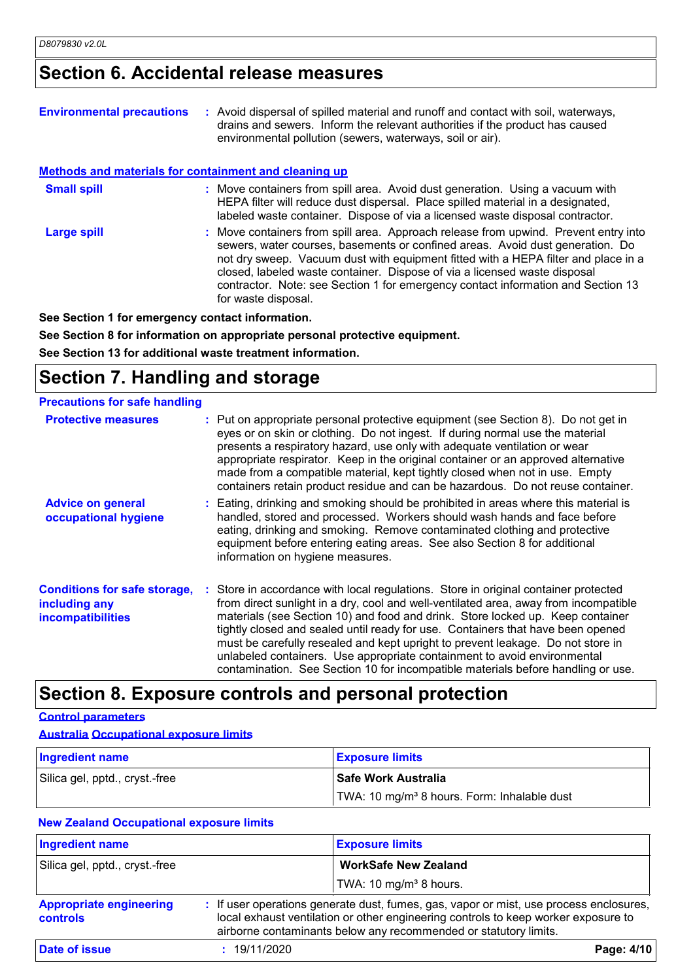### **Section 6. Accidental release measures**

| <b>Environmental precautions</b>                             | : Avoid dispersal of spilled material and runoff and contact with soil, waterways,<br>drains and sewers. Inform the relevant authorities if the product has caused<br>environmental pollution (sewers, waterways, soil or air).                                                                                                                                                                                                                    |
|--------------------------------------------------------------|----------------------------------------------------------------------------------------------------------------------------------------------------------------------------------------------------------------------------------------------------------------------------------------------------------------------------------------------------------------------------------------------------------------------------------------------------|
| <b>Methods and materials for containment and cleaning up</b> |                                                                                                                                                                                                                                                                                                                                                                                                                                                    |
| <b>Small spill</b>                                           | : Move containers from spill area. Avoid dust generation. Using a vacuum with<br>HEPA filter will reduce dust dispersal. Place spilled material in a designated,<br>labeled waste container. Dispose of via a licensed waste disposal contractor.                                                                                                                                                                                                  |
| <b>Large spill</b>                                           | : Move containers from spill area. Approach release from upwind. Prevent entry into<br>sewers, water courses, basements or confined areas. Avoid dust generation. Do<br>not dry sweep. Vacuum dust with equipment fitted with a HEPA filter and place in a<br>closed, labeled waste container. Dispose of via a licensed waste disposal<br>contractor. Note: see Section 1 for emergency contact information and Section 13<br>for waste disposal. |
|                                                              |                                                                                                                                                                                                                                                                                                                                                                                                                                                    |

**See Section 1 for emergency contact information.**

**See Section 8 for information on appropriate personal protective equipment.**

**See Section 13 for additional waste treatment information.**

### **Section 7. Handling and storage**

| <b>Precautions for safe handling</b>                                             |                                                                                                                                                                                                                                                                                                                                                                                                                                                                                                                                                                                                     |
|----------------------------------------------------------------------------------|-----------------------------------------------------------------------------------------------------------------------------------------------------------------------------------------------------------------------------------------------------------------------------------------------------------------------------------------------------------------------------------------------------------------------------------------------------------------------------------------------------------------------------------------------------------------------------------------------------|
| <b>Protective measures</b>                                                       | : Put on appropriate personal protective equipment (see Section 8). Do not get in<br>eyes or on skin or clothing. Do not ingest. If during normal use the material<br>presents a respiratory hazard, use only with adequate ventilation or wear<br>appropriate respirator. Keep in the original container or an approved alternative<br>made from a compatible material, kept tightly closed when not in use. Empty<br>containers retain product residue and can be hazardous. Do not reuse container.                                                                                              |
| <b>Advice on general</b><br>occupational hygiene                                 | : Eating, drinking and smoking should be prohibited in areas where this material is<br>handled, stored and processed. Workers should wash hands and face before<br>eating, drinking and smoking. Remove contaminated clothing and protective<br>equipment before entering eating areas. See also Section 8 for additional<br>information on hygiene measures.                                                                                                                                                                                                                                       |
| <b>Conditions for safe storage,</b><br>including any<br><b>incompatibilities</b> | : Store in accordance with local regulations. Store in original container protected<br>from direct sunlight in a dry, cool and well-ventilated area, away from incompatible<br>materials (see Section 10) and food and drink. Store locked up. Keep container<br>tightly closed and sealed until ready for use. Containers that have been opened<br>must be carefully resealed and kept upright to prevent leakage. Do not store in<br>unlabeled containers. Use appropriate containment to avoid environmental<br>contamination. See Section 10 for incompatible materials before handling or use. |

### **Section 8. Exposure controls and personal protection**

#### **Control parameters**

#### **Australia Occupational exposure limits**

| <b>Ingredient name</b>         | <b>Exposure limits</b>                                  |
|--------------------------------|---------------------------------------------------------|
| Silica gel, pptd., cryst.-free | l Safe Work Australia                                   |
|                                | TWA: 10 mg/m <sup>3</sup> 8 hours. Form: Inhalable dust |

### **New Zealand Occupational exposure limits**

| <b>Ingredient name</b>                     | <b>Exposure limits</b>                                                                                                                                                                                                                           |  |
|--------------------------------------------|--------------------------------------------------------------------------------------------------------------------------------------------------------------------------------------------------------------------------------------------------|--|
| Silica gel, pptd., cryst.-free             | <b>WorkSafe New Zealand</b>                                                                                                                                                                                                                      |  |
|                                            | TWA: 10 mg/m <sup>3</sup> 8 hours.                                                                                                                                                                                                               |  |
| <b>Appropriate engineering</b><br>controls | : If user operations generate dust, fumes, gas, vapor or mist, use process enclosures,<br>local exhaust ventilation or other engineering controls to keep worker exposure to<br>airborne contaminants below any recommended or statutory limits. |  |
| <b>Date of issue</b>                       | : 19/11/2020<br>Page: 4/10                                                                                                                                                                                                                       |  |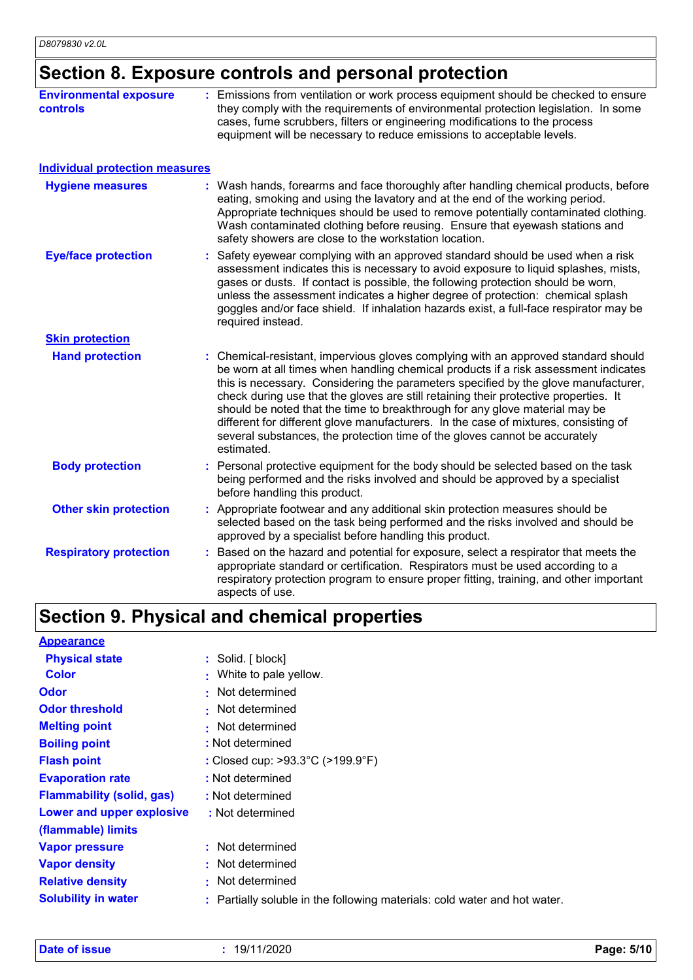## **Section 8. Exposure controls and personal protection**

| <b>Environmental exposure</b><br><b>controls</b> | : Emissions from ventilation or work process equipment should be checked to ensure<br>they comply with the requirements of environmental protection legislation. In some<br>cases, fume scrubbers, filters or engineering modifications to the process<br>equipment will be necessary to reduce emissions to acceptable levels.                                                                                                                                                                                                                                                                                           |
|--------------------------------------------------|---------------------------------------------------------------------------------------------------------------------------------------------------------------------------------------------------------------------------------------------------------------------------------------------------------------------------------------------------------------------------------------------------------------------------------------------------------------------------------------------------------------------------------------------------------------------------------------------------------------------------|
| <b>Individual protection measures</b>            |                                                                                                                                                                                                                                                                                                                                                                                                                                                                                                                                                                                                                           |
| <b>Hygiene measures</b>                          | : Wash hands, forearms and face thoroughly after handling chemical products, before<br>eating, smoking and using the lavatory and at the end of the working period.<br>Appropriate techniques should be used to remove potentially contaminated clothing.<br>Wash contaminated clothing before reusing. Ensure that eyewash stations and<br>safety showers are close to the workstation location.                                                                                                                                                                                                                         |
| <b>Eye/face protection</b>                       | Safety eyewear complying with an approved standard should be used when a risk<br>assessment indicates this is necessary to avoid exposure to liquid splashes, mists,<br>gases or dusts. If contact is possible, the following protection should be worn,<br>unless the assessment indicates a higher degree of protection: chemical splash<br>goggles and/or face shield. If inhalation hazards exist, a full-face respirator may be<br>required instead.                                                                                                                                                                 |
| <b>Skin protection</b>                           |                                                                                                                                                                                                                                                                                                                                                                                                                                                                                                                                                                                                                           |
| <b>Hand protection</b>                           | : Chemical-resistant, impervious gloves complying with an approved standard should<br>be worn at all times when handling chemical products if a risk assessment indicates<br>this is necessary. Considering the parameters specified by the glove manufacturer,<br>check during use that the gloves are still retaining their protective properties. It<br>should be noted that the time to breakthrough for any glove material may be<br>different for different glove manufacturers. In the case of mixtures, consisting of<br>several substances, the protection time of the gloves cannot be accurately<br>estimated. |
| <b>Body protection</b>                           | Personal protective equipment for the body should be selected based on the task<br>being performed and the risks involved and should be approved by a specialist<br>before handling this product.                                                                                                                                                                                                                                                                                                                                                                                                                         |
| <b>Other skin protection</b>                     | : Appropriate footwear and any additional skin protection measures should be<br>selected based on the task being performed and the risks involved and should be<br>approved by a specialist before handling this product.                                                                                                                                                                                                                                                                                                                                                                                                 |
| <b>Respiratory protection</b>                    | Based on the hazard and potential for exposure, select a respirator that meets the<br>appropriate standard or certification. Respirators must be used according to a<br>respiratory protection program to ensure proper fitting, training, and other important<br>aspects of use.                                                                                                                                                                                                                                                                                                                                         |

# **Section 9. Physical and chemical properties**

| <b>Appearance</b>                |                                                                           |
|----------------------------------|---------------------------------------------------------------------------|
| <b>Physical state</b>            | : Solid. [block]                                                          |
| <b>Color</b>                     | : White to pale yellow.                                                   |
| <b>Odor</b>                      | : Not determined                                                          |
| <b>Odor threshold</b>            | • Not determined                                                          |
| <b>Melting point</b>             | • Not determined                                                          |
| <b>Boiling point</b>             | : Not determined                                                          |
| <b>Flash point</b>               | : Closed cup: >93.3°C (>199.9°F)                                          |
| <b>Evaporation rate</b>          | : Not determined                                                          |
| <b>Flammability (solid, gas)</b> | : Not determined                                                          |
| Lower and upper explosive        | : Not determined                                                          |
| (flammable) limits               |                                                                           |
| <b>Vapor pressure</b>            | : Not determined                                                          |
| <b>Vapor density</b>             | : Not determined                                                          |
| <b>Relative density</b>          | : Not determined                                                          |
| <b>Solubility in water</b>       | : Partially soluble in the following materials: cold water and hot water. |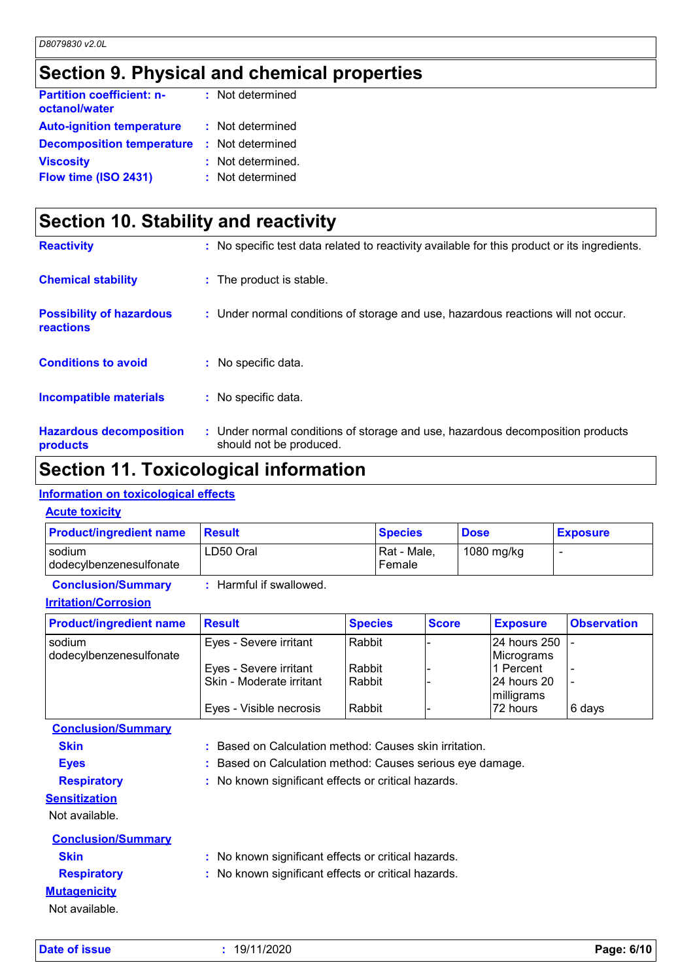### **Section 9. Physical and chemical properties**

| : Not determined  |
|-------------------|
| : Not determined  |
| : Not determined  |
| : Not determined. |
| : Not determined  |
|                   |

| Section 10. Stability and reactivity                |                                                                                                           |  |  |
|-----------------------------------------------------|-----------------------------------------------------------------------------------------------------------|--|--|
| <b>Reactivity</b>                                   | : No specific test data related to reactivity available for this product or its ingredients.              |  |  |
| <b>Chemical stability</b>                           | : The product is stable.                                                                                  |  |  |
| <b>Possibility of hazardous</b><br><b>reactions</b> | : Under normal conditions of storage and use, hazardous reactions will not occur.                         |  |  |
| <b>Conditions to avoid</b>                          | : No specific data.                                                                                       |  |  |
| <b>Incompatible materials</b>                       | : No specific data.                                                                                       |  |  |
| <b>Hazardous decomposition</b><br>products          | : Under normal conditions of storage and use, hazardous decomposition products<br>should not be produced. |  |  |

### **Section 11. Toxicological information**

### **Information on toxicological effects**

#### **Acute toxicity**

| <b>Product/ingredient name</b>    | <b>Result</b>         | <b>Species</b>        | <b>Dose</b> | <b>Exposure</b> |
|-----------------------------------|-----------------------|-----------------------|-------------|-----------------|
| sodium<br>dodecylbenzenesulfonate | LD50 Oral             | Rat - Male,<br>Female | 1080 mg/kg  |                 |
| <b>Conclusion/Summary</b>         | Harmful if swallowed. |                       |             |                 |

### **Irritation/Corrosion**

| <b>Product/ingredient name</b>    | <b>Result</b>            | <b>Species</b> | <b>Score</b> | <b>Exposure</b>               | <b>Observation</b> |
|-----------------------------------|--------------------------|----------------|--------------|-------------------------------|--------------------|
| sodium<br>dodecylbenzenesulfonate | Eyes - Severe irritant   | l Rabbit       |              | 24 hours 250  -<br>Micrograms |                    |
|                                   | Eyes - Severe irritant   | Rabbit         |              | l1 Percent                    |                    |
|                                   | Skin - Moderate irritant | Rabbit         |              | 24 hours 20<br>milligrams     |                    |
|                                   | Eyes - Visible necrosis  | Rabbit         |              | l72 hours                     | ∣6 days            |

**Conclusion/Summary**

**Skin :** Based on Calculation method: Causes skin irritation.

- **Eyes :** Based on Calculation method: Causes serious eye damage.
- **Respiratory :** No known significant effects or critical hazards.

**Sensitization**

Not available.

| <b>Conclusion/Summary</b> |                                                     |
|---------------------------|-----------------------------------------------------|
| <b>Skin</b>               | : No known significant effects or critical hazards. |
| <b>Respiratory</b>        | : No known significant effects or critical hazards. |
| <b>Mutagenicity</b>       |                                                     |
| Not available.            |                                                     |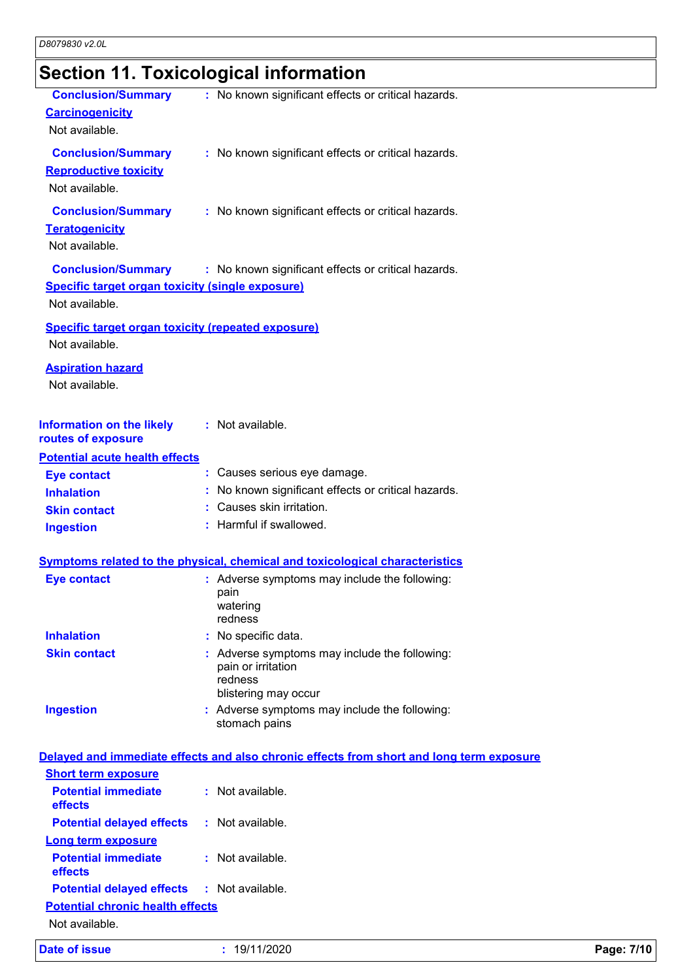# **Section 11. Toxicological information**

| <b>Conclusion/Summary</b><br><b>Carcinogenicity</b><br>Not available.                           | : No known significant effects or critical hazards.                                                    |            |
|-------------------------------------------------------------------------------------------------|--------------------------------------------------------------------------------------------------------|------------|
| <b>Conclusion/Summary</b><br><b>Reproductive toxicity</b><br>Not available.                     | : No known significant effects or critical hazards.                                                    |            |
| <b>Conclusion/Summary</b><br><b>Teratogenicity</b><br>Not available.                            | : No known significant effects or critical hazards.                                                    |            |
| <b>Conclusion/Summary</b><br>Specific target organ toxicity (single exposure)<br>Not available. | : No known significant effects or critical hazards.                                                    |            |
| <b>Specific target organ toxicity (repeated exposure)</b><br>Not available.                     |                                                                                                        |            |
| <b>Aspiration hazard</b><br>Not available.                                                      |                                                                                                        |            |
| <b>Information on the likely</b><br>routes of exposure                                          | : Not available.                                                                                       |            |
| <b>Potential acute health effects</b>                                                           |                                                                                                        |            |
| <b>Eye contact</b>                                                                              | : Causes serious eye damage.                                                                           |            |
| <b>Inhalation</b>                                                                               | : No known significant effects or critical hazards.<br>: Causes skin irritation.                       |            |
| <b>Skin contact</b>                                                                             | : Harmful if swallowed.                                                                                |            |
| <b>Ingestion</b>                                                                                |                                                                                                        |            |
|                                                                                                 | <b>Symptoms related to the physical, chemical and toxicological characteristics</b>                    |            |
| <b>Eye contact</b>                                                                              | : Adverse symptoms may include the following:                                                          |            |
|                                                                                                 | pain<br>watering<br>redness                                                                            |            |
| <b>Inhalation</b>                                                                               | No specific data.                                                                                      |            |
| <b>Skin contact</b>                                                                             | : Adverse symptoms may include the following:<br>pain or irritation<br>redness<br>blistering may occur |            |
| <b>Ingestion</b>                                                                                | : Adverse symptoms may include the following:<br>stomach pains                                         |            |
|                                                                                                 | Delayed and immediate effects and also chronic effects from short and long term exposure               |            |
| <b>Short term exposure</b>                                                                      |                                                                                                        |            |
| <b>Potential immediate</b><br>effects                                                           | : Not available.                                                                                       |            |
| <b>Potential delayed effects</b>                                                                | : Not available.                                                                                       |            |
| <b>Long term exposure</b>                                                                       |                                                                                                        |            |
| <b>Potential immediate</b><br>effects                                                           | : Not available.                                                                                       |            |
| <b>Potential delayed effects</b>                                                                | : Not available.                                                                                       |            |
| <b>Potential chronic health effects</b><br>Not available.                                       |                                                                                                        |            |
| <b>Date of issue</b>                                                                            | : 19/11/2020                                                                                           | Page: 7/10 |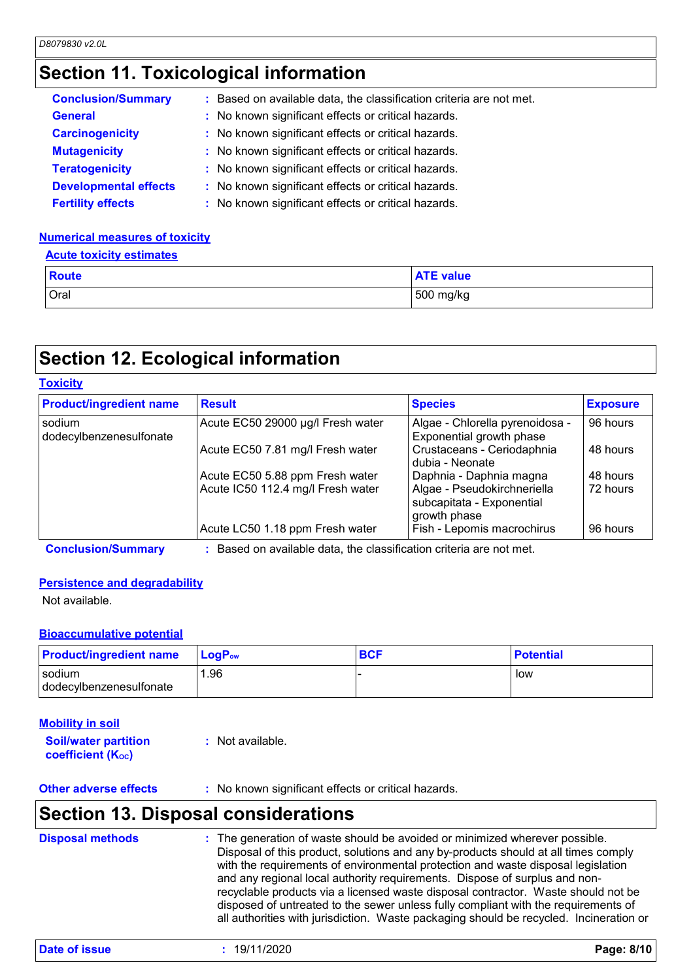### **Section 11. Toxicological information**

| <b>Conclusion/Summary</b>    | : Based on available data, the classification criteria are not met. |
|------------------------------|---------------------------------------------------------------------|
| <b>General</b>               | : No known significant effects or critical hazards.                 |
| <b>Carcinogenicity</b>       | : No known significant effects or critical hazards.                 |
| <b>Mutagenicity</b>          | : No known significant effects or critical hazards.                 |
| <b>Teratogenicity</b>        | : No known significant effects or critical hazards.                 |
| <b>Developmental effects</b> | : No known significant effects or critical hazards.                 |
| <b>Fertility effects</b>     | : No known significant effects or critical hazards.                 |

#### **Numerical measures of toxicity**

#### **Acute toxicity estimates**

| <b>Route</b> | <b>ATE value</b> |
|--------------|------------------|
| Oral         | 500 mg/kg        |

### **Section 12. Ecological information**

| <b>Product/ingredient name</b>    | <b>Result</b>                     | <b>Species</b>                                                           | <b>Exposure</b> |
|-----------------------------------|-----------------------------------|--------------------------------------------------------------------------|-----------------|
| sodium<br>dodecylbenzenesulfonate | Acute EC50 29000 µg/l Fresh water | Algae - Chlorella pyrenoidosa -<br>Exponential growth phase              | 96 hours        |
|                                   | Acute EC50 7.81 mg/l Fresh water  | Crustaceans - Ceriodaphnia<br>dubia - Neonate                            | 48 hours        |
|                                   | Acute EC50 5.88 ppm Fresh water   | Daphnia - Daphnia magna                                                  | 48 hours        |
|                                   | Acute IC50 112.4 mg/l Fresh water | Algae - Pseudokirchneriella<br>subcapitata - Exponential<br>growth phase | 72 hours        |
|                                   | Acute LC50 1.18 ppm Fresh water   | Fish - Lepomis macrochirus                                               | 96 hours        |

**Conclusion/Summary :** Based on available data, the classification criteria are not met.

#### **Persistence and degradability**

Not available.

#### **Bioaccumulative potential**

| <b>Product/ingredient name</b>      | $\mathsf{LocP}_\mathsf{ow}$ | <b>BCF</b> | <b>Potential</b> |
|-------------------------------------|-----------------------------|------------|------------------|
| I sodium<br>dodecylbenzenesulfonate | .96                         |            | low              |

#### **Soil/water partition coefficient (Koc) :** Not available. **Mobility in soil**

**Other adverse effects** : No known significant effects or critical hazards.

### **Section 13. Disposal considerations**

| <b>Disposal methods</b> | : The generation of waste should be avoided or minimized wherever possible.            |
|-------------------------|----------------------------------------------------------------------------------------|
|                         | Disposal of this product, solutions and any by-products should at all times comply     |
|                         | with the requirements of environmental protection and waste disposal legislation       |
|                         | and any regional local authority requirements. Dispose of surplus and non-             |
|                         | recyclable products via a licensed waste disposal contractor. Waste should not be      |
|                         | disposed of untreated to the sewer unless fully compliant with the requirements of     |
|                         | all authorities with jurisdiction. Waste packaging should be recycled. Incineration or |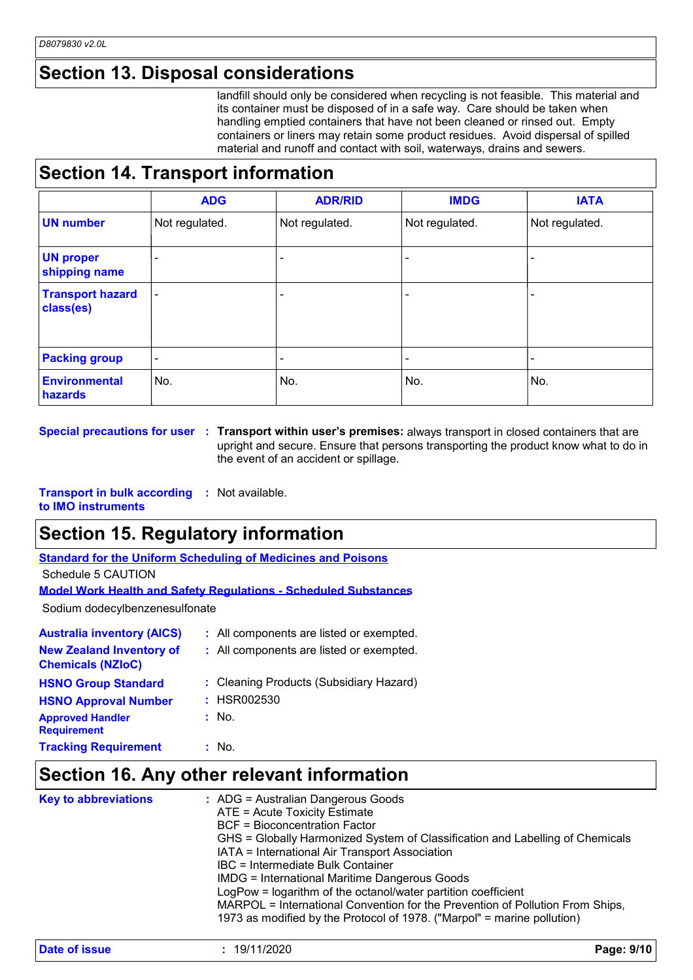### **Section 13. Disposal considerations**

landfill should only be considered when recycling is not feasible. This material and its container must be disposed of in a safe way. Care should be taken when handling emptied containers that have not been cleaned or rinsed out. Empty containers or liners may retain some product residues. Avoid dispersal of spilled material and runoff and contact with soil, waterways, drains and sewers.

### **Section 14. Transport information**

|                                      | <b>ADG</b>               | <b>ADR/RID</b> | <b>IMDG</b>    | <b>IATA</b>    |
|--------------------------------------|--------------------------|----------------|----------------|----------------|
| <b>UN number</b>                     | Not regulated.           | Not regulated. | Not regulated. | Not regulated. |
| <b>UN proper</b><br>shipping name    |                          |                |                |                |
| <b>Transport hazard</b><br>class(es) | $\overline{\phantom{a}}$ | ٠              |                |                |
| <b>Packing group</b>                 | -                        | -              |                |                |
| <b>Environmental</b><br>hazards      | No.                      | No.            | No.            | No.            |

**Special precautions for user Transport within user's premises:** always transport in closed containers that are **:** upright and secure. Ensure that persons transporting the product know what to do in the event of an accident or spillage.

**Transport in bulk according :** Not available. **to IMO instruments**

### **Section 15. Regulatory information**

**Standard for the Uniform Scheduling of Medicines and Poisons**

Schedule 5 CAUTION

```
Model Work Health and Safety Regulations - Scheduled Substances
```
Sodium dodecylbenzenesulfonate

| <b>Australia inventory (AICS)</b>                           | : All components are listed or exempted. |
|-------------------------------------------------------------|------------------------------------------|
| <b>New Zealand Inventory of</b><br><b>Chemicals (NZIoC)</b> | : All components are listed or exempted. |
| <b>HSNO Group Standard</b>                                  | : Cleaning Products (Subsidiary Hazard)  |
| <b>HSNO Approval Number</b>                                 | : HSR002530                              |
| <b>Approved Handler</b><br><b>Requirement</b>               | : No.                                    |
| <b>Tracking Requirement</b>                                 | : No.                                    |

### **Section 16. Any other relevant information**

| <b>Key to abbreviations</b> | : ADG = Australian Dangerous Goods<br>ATE = Acute Toxicity Estimate<br>BCF = Bioconcentration Factor<br>GHS = Globally Harmonized System of Classification and Labelling of Chemicals<br>IATA = International Air Transport Association<br>IBC = Intermediate Bulk Container<br><b>IMDG = International Maritime Dangerous Goods</b><br>LogPow = logarithm of the octanol/water partition coefficient<br>MARPOL = International Convention for the Prevention of Pollution From Ships,<br>1973 as modified by the Protocol of 1978. ("Marpol" = marine pollution) |
|-----------------------------|-------------------------------------------------------------------------------------------------------------------------------------------------------------------------------------------------------------------------------------------------------------------------------------------------------------------------------------------------------------------------------------------------------------------------------------------------------------------------------------------------------------------------------------------------------------------|
|                             |                                                                                                                                                                                                                                                                                                                                                                                                                                                                                                                                                                   |

| Date of issue | 19/11/2020 | Page: 9/10 |
|---------------|------------|------------|
|---------------|------------|------------|